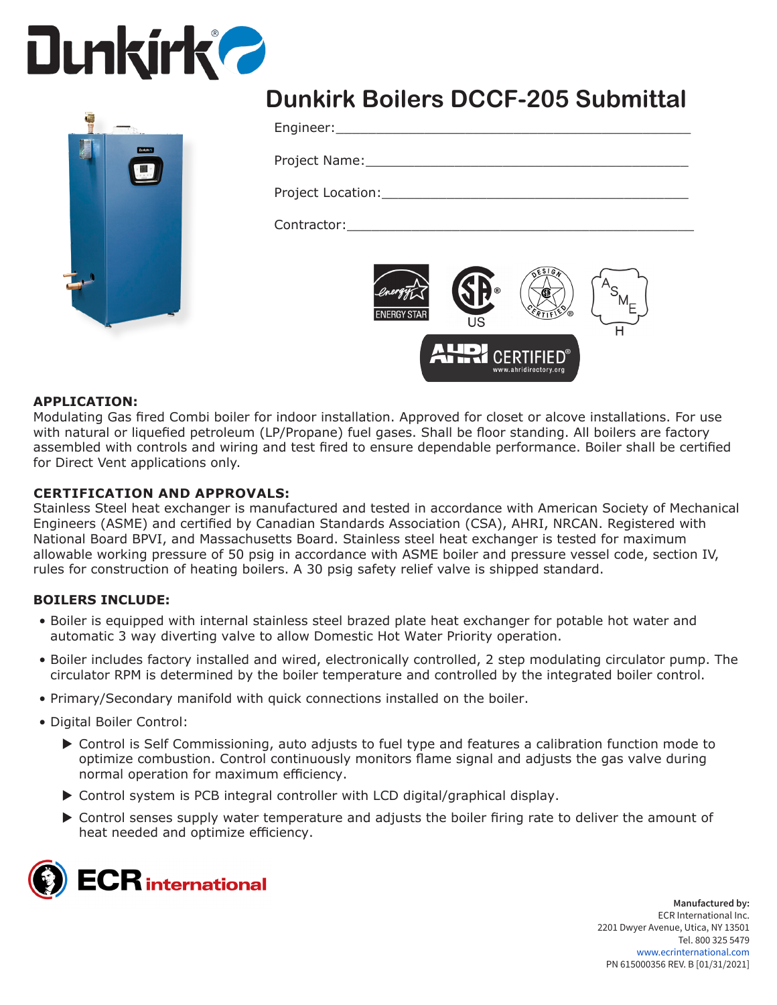# **Dunkirk 2**



### **Dunkirk Boilers DCCF-205 Submittal**

Engineer:

Project Name:

Project Location:

Contractor:



#### **APPLICATION:**

Modulating Gas fired Combi boiler for indoor installation. Approved for closet or alcove installations. For use with natural or liquefied petroleum (LP/Propane) fuel gases. Shall be floor standing. All boilers are factory assembled with controls and wiring and test fired to ensure dependable performance. Boiler shall be certified for Direct Vent applications only.

#### **CERTIFICATION AND APPROVALS:**

Stainless Steel heat exchanger is manufactured and tested in accordance with American Society of Mechanical Engineers (ASME) and certified by Canadian Standards Association (CSA), AHRI, NRCAN. Registered with National Board BPVI, and Massachusetts Board. Stainless steel heat exchanger is tested for maximum allowable working pressure of 50 psig in accordance with ASME boiler and pressure vessel code, section IV, rules for construction of heating boilers. A 30 psig safety relief valve is shipped standard.

#### **BOILERS INCLUDE:**

- Boiler is equipped with internal stainless steel brazed plate heat exchanger for potable hot water and automatic 3 way diverting valve to allow Domestic Hot Water Priority operation.
- Boiler includes factory installed and wired, electronically controlled, 2 step modulating circulator pump. The circulator RPM is determined by the boiler temperature and controlled by the integrated boiler control.
- Primary/Secondary manifold with quick connections installed on the boiler.
- Digital Boiler Control:
	- ▶ Control is Self Commissioning, auto adjusts to fuel type and features a calibration function mode to optimize combustion. Control continuously monitors flame signal and adjusts the gas valve during normal operation for maximum efficiency.
	- $\triangleright$  Control system is PCB integral controller with LCD digital/graphical display.
	- $\triangleright$  Control senses supply water temperature and adjusts the boiler firing rate to deliver the amount of heat needed and optimize efficiency.

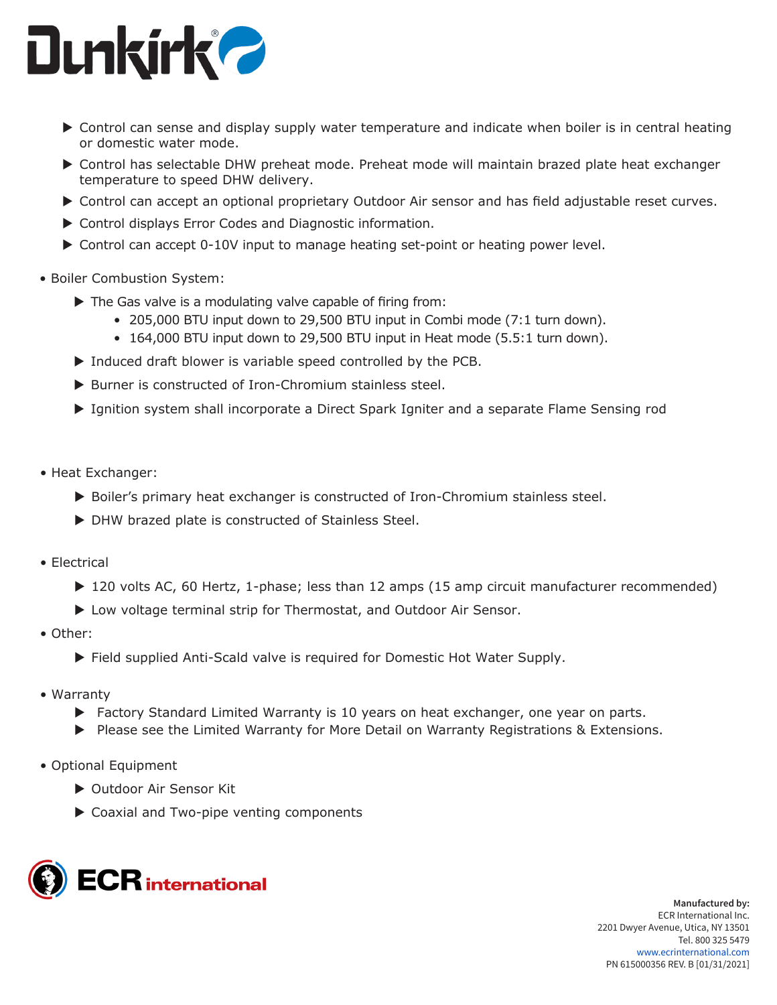

- $\triangleright$  Control can sense and display supply water temperature and indicate when boiler is in central heating or domestic water mode.
- ▶ Control has selectable DHW preheat mode. Preheat mode will maintain brazed plate heat exchanger temperature to speed DHW delivery.
- ▶ Control can accept an optional proprietary Outdoor Air sensor and has field adjustable reset curves.
- $\triangleright$  Control displays Error Codes and Diagnostic information.
- $\triangleright$  Control can accept 0-10V input to manage heating set-point or heating power level.
- Boiler Combustion System:
	- $\blacktriangleright$  The Gas valve is a modulating valve capable of firing from:
		- 205,000 BTU input down to 29,500 BTU input in Combi mode (7:1 turn down).
		- 164,000 BTU input down to 29,500 BTU input in Heat mode (5.5:1 turn down).
	- $\triangleright$  Induced draft blower is variable speed controlled by the PCB.
	- ▶ Burner is constructed of Iron-Chromium stainless steel.
	- ▶ Ignition system shall incorporate a Direct Spark Igniter and a separate Flame Sensing rod
- Heat Exchanger:
	- ▶ Boiler's primary heat exchanger is constructed of Iron-Chromium stainless steel.
	- $\triangleright$  DHW brazed plate is constructed of Stainless Steel.
- Electrical
	- ▶ 120 volts AC, 60 Hertz, 1-phase; less than 12 amps (15 amp circuit manufacturer recommended)
	- ▶ Low voltage terminal strip for Thermostat, and Outdoor Air Sensor.
- Other:
	- ▶ Field supplied Anti-Scald valve is required for Domestic Hot Water Supply.
- Warranty
	- $\blacktriangleright$  Factory Standard Limited Warranty is 10 years on heat exchanger, one year on parts.
	- $\triangleright$  Please see the Limited Warranty for More Detail on Warranty Registrations & Extensions.
- Optional Equipment
	- ▶ Outdoor Air Sensor Kit
	- $\triangleright$  Coaxial and Two-pipe venting components

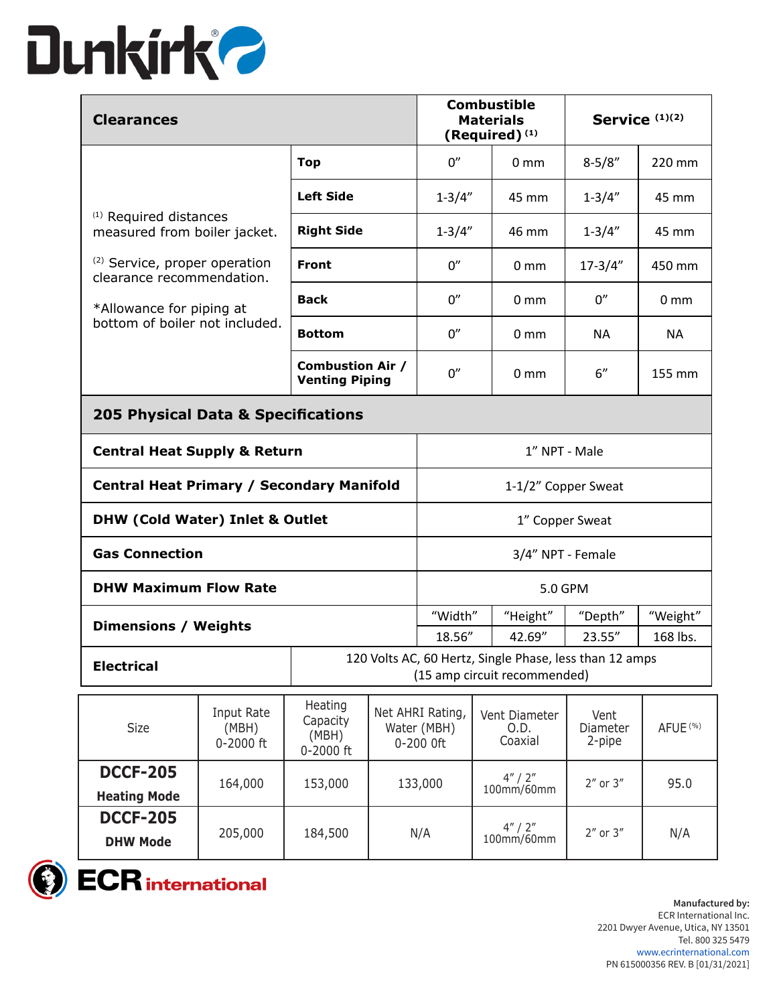

| <b>Clearances</b>                                                     |                                                                                                            |                                                  | <b>Combustible</b><br><b>Materials</b><br>(Required) $(1)$ |                                              |                       | Service (1)(2)                   |                            |                     |
|-----------------------------------------------------------------------|------------------------------------------------------------------------------------------------------------|--------------------------------------------------|------------------------------------------------------------|----------------------------------------------|-----------------------|----------------------------------|----------------------------|---------------------|
|                                                                       |                                                                                                            | <b>Top</b>                                       |                                                            | 0''                                          |                       | $0 \text{ mm}$                   | $8 - 5/8"$                 | 220 mm              |
|                                                                       | <b>Left Side</b><br><sup>(1)</sup> Required distances<br><b>Right Side</b><br>measured from boiler jacket. |                                                  |                                                            | $1 - 3/4"$                                   |                       | 45 mm                            | $1 - 3/4"$                 | 45 mm               |
|                                                                       |                                                                                                            |                                                  |                                                            | $1 - 3/4"$                                   |                       | 46 mm                            | $1 - 3/4"$                 | 45 mm               |
| <sup>(2)</sup> Service, proper operation<br>clearance recommendation. |                                                                                                            | <b>Front</b>                                     |                                                            | 0''                                          |                       | 0 <sub>mm</sub>                  | $17 - 3/4"$                | 450 mm              |
| *Allowance for piping at                                              |                                                                                                            | <b>Back</b>                                      |                                                            | 0''                                          |                       | 0 <sub>mm</sub>                  | 0''                        | 0 <sub>mm</sub>     |
| bottom of boiler not included.                                        |                                                                                                            | <b>Bottom</b>                                    |                                                            | 0''                                          |                       | 0 <sub>mm</sub>                  | <b>NA</b>                  | ΝA                  |
|                                                                       |                                                                                                            | <b>Combustion Air /</b><br><b>Venting Piping</b> |                                                            | 0''                                          |                       | 0 <sub>mm</sub>                  | 6"                         | 155 mm              |
| 205 Physical Data & Specifications                                    |                                                                                                            |                                                  |                                                            |                                              |                       |                                  |                            |                     |
| <b>Central Heat Supply &amp; Return</b>                               |                                                                                                            |                                                  | 1" NPT - Male                                              |                                              |                       |                                  |                            |                     |
| <b>Central Heat Primary / Secondary Manifold</b>                      |                                                                                                            |                                                  |                                                            | 1-1/2" Copper Sweat                          |                       |                                  |                            |                     |
| <b>DHW (Cold Water) Inlet &amp; Outlet</b>                            |                                                                                                            |                                                  |                                                            | 1" Copper Sweat                              |                       |                                  |                            |                     |
| <b>Gas Connection</b>                                                 |                                                                                                            |                                                  |                                                            | 3/4" NPT - Female                            |                       |                                  |                            |                     |
| <b>DHW Maximum Flow Rate</b>                                          |                                                                                                            |                                                  |                                                            | 5.0 GPM                                      |                       |                                  |                            |                     |
| <b>Dimensions / Weights</b>                                           |                                                                                                            |                                                  |                                                            | "Width"                                      |                       | "Height"                         | "Depth"                    | "Weight"            |
|                                                                       |                                                                                                            |                                                  |                                                            | 42.69"<br>18.56"                             |                       |                                  | 23.55"<br>168 lbs.         |                     |
| <b>Electrical</b>                                                     | 120 Volts AC, 60 Hertz, Single Phase, less than 12 amps<br>(15 amp circuit recommended)                    |                                                  |                                                            |                                              |                       |                                  |                            |                     |
| Size                                                                  | Input Rate<br>(MBH)<br>0-2000 ft                                                                           | Heating<br>Capacity<br>(MBH)<br>0-2000 ft        |                                                            | Net AHRI Rating,<br>Water (MBH)<br>0-200 Oft |                       | Vent Diameter<br>O.D.<br>Coaxial | Vent<br>Diameter<br>2-pipe | AFUE <sup>(%)</sup> |
| <b>DCCF-205</b><br><b>Heating Mode</b>                                | 164,000                                                                                                    | 153,000                                          | 133,000                                                    |                                              | 4''/2''<br>100mm/60mm |                                  | $2''$ or $3''$             | 95.0                |
| <b>DCCF-205</b><br><b>DHW Mode</b>                                    | 205,000                                                                                                    | 184,500                                          | N/A                                                        |                                              | 4''/2''<br>100mm/60mm |                                  | $2''$ or $3''$             | N/A                 |

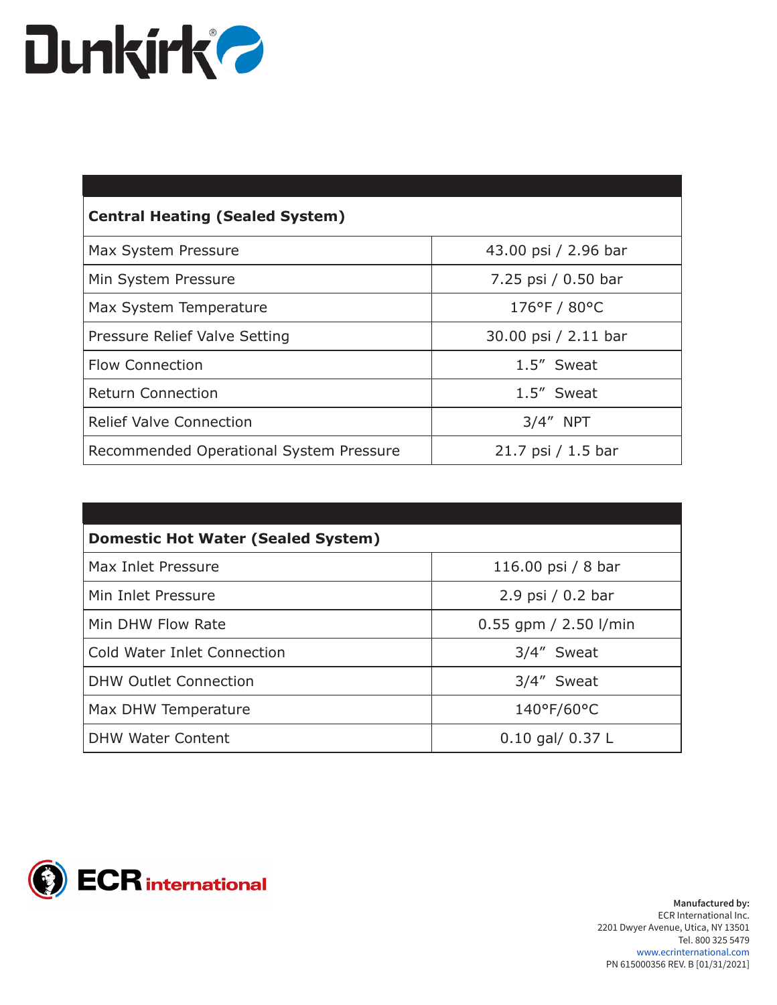### **Dunkirk?**

| 43.00 psi / 2.96 bar<br>Max System Pressure |                      |
|---------------------------------------------|----------------------|
| Min System Pressure                         | 7.25 psi / 0.50 bar  |
| Max System Temperature                      | 176°F / 80°C         |
| Pressure Relief Valve Setting               | 30.00 psi / 2.11 bar |
| <b>Flow Connection</b>                      | 1.5" Sweat           |
| <b>Return Connection</b>                    | 1.5" Sweat           |
| <b>Relief Valve Connection</b>              | $3/4''$ NPT          |
| Recommended Operational System Pressure     | $21.7$ psi / 1.5 bar |

| <b>Domestic Hot Water (Sealed System)</b> |                         |  |  |  |
|-------------------------------------------|-------------------------|--|--|--|
| Max Inlet Pressure                        | 116.00 psi / 8 bar      |  |  |  |
| Min Inlet Pressure                        | 2.9 psi / 0.2 bar       |  |  |  |
| Min DHW Flow Rate                         | $0.55$ gpm / 2.50 l/min |  |  |  |
| Cold Water Inlet Connection               | 3/4" Sweat              |  |  |  |
| <b>DHW Outlet Connection</b>              | 3/4" Sweat              |  |  |  |
| Max DHW Temperature                       | 140°F/60°C              |  |  |  |
| <b>DHW Water Content</b>                  | $0.10$ gal/ $0.37$ L    |  |  |  |

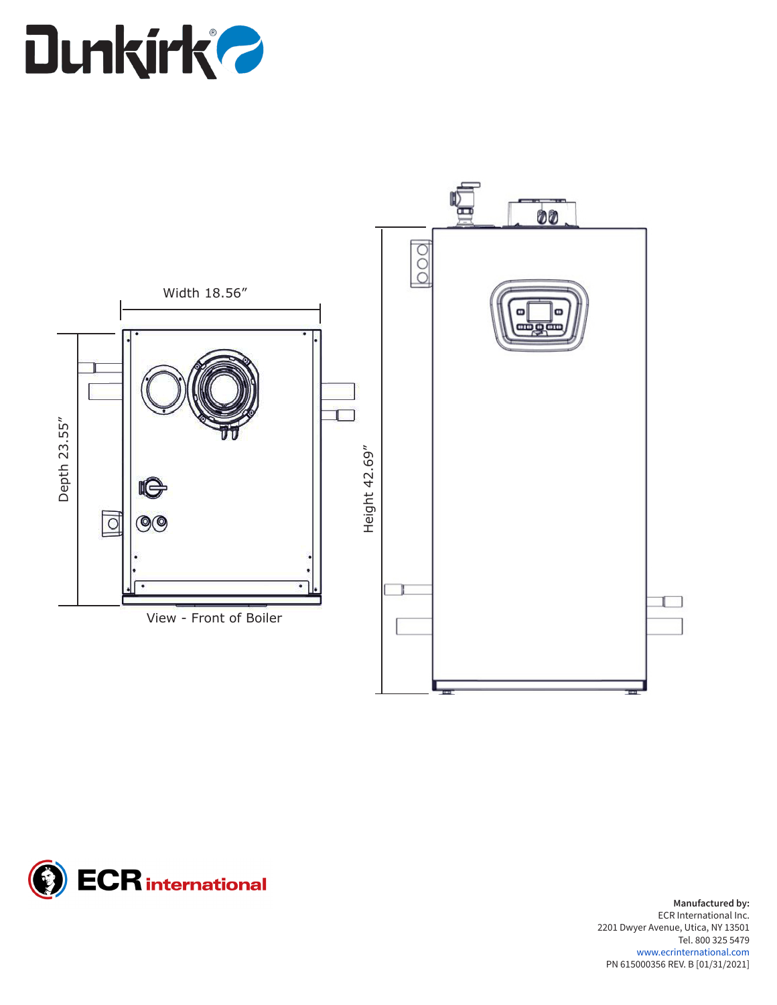# **Dunkirk?**